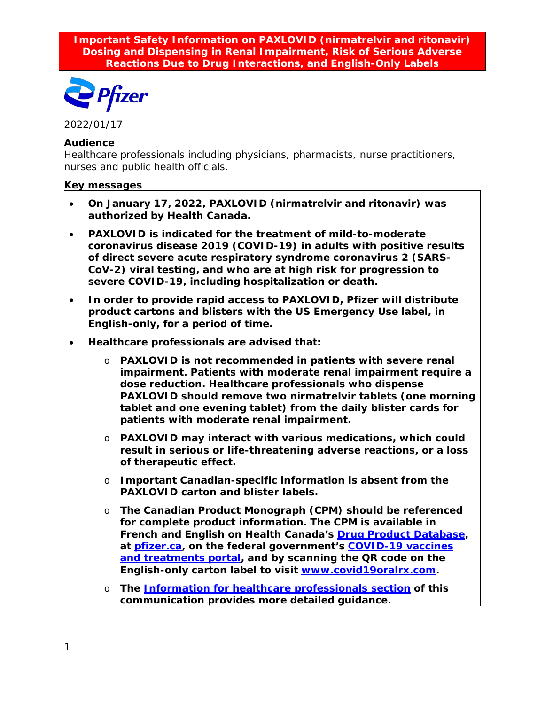**Important Safety Information on PAXLOVID (nirmatrelvir and ritonavir) Dosing and Dispensing in Renal Impairment, Risk of Serious Adverse Reactions Due to Drug Interactions, and English-Only Labels**



2022/01/17

#### **Audience**

Healthcare professionals including physicians, pharmacists, nurse practitioners, nurses and public health officials.

#### **Key messages**

- **On January 17, 2022, PAXLOVID (nirmatrelvir and ritonavir) was authorized by Health Canada.**
- **PAXLOVID is indicated for the treatment of mild-to-moderate coronavirus disease 2019 (COVID-19) in adults with positive results of direct severe acute respiratory syndrome coronavirus 2 (SARS-CoV-2) viral testing, and who are at high risk for progression to severe COVID-19, including hospitalization or death.**
- **In order to provide rapid access to PAXLOVID, Pfizer will distribute product cartons and blisters with the US Emergency Use label, in English-only, for a period of time.**
- **Healthcare professionals are advised that:**
	- o **PAXLOVID is not recommended in patients with severe renal impairment. Patients with moderate renal impairment require a dose reduction. Healthcare professionals who dispense PAXLOVID should remove two nirmatrelvir tablets (one morning tablet and one evening tablet) from the daily blister cards for patients with moderate renal impairment.**
	- o **PAXLOVID may interact with various medications, which could result in serious or life-threatening adverse reactions, or a loss of therapeutic effect.**
	- o **Important Canadian-specific information is absent from the PAXLOVID carton and blister labels.**
	- o **The Canadian Product Monograph (CPM) should be referenced for complete product information. The CPM is available in French and English on Health Canada's [Drug Product Database,](https://www.canada.ca/en/health-canada/services/drugs-health-products/drug-products/drug-product-database.html) at [pfizer.ca,](https://www.pfizer.ca/) on the federal government's [COVID-19 vaccines](https://covid-vaccine.canada.ca/)  [and treatments portal,](https://covid-vaccine.canada.ca/) and by scanning the QR code on the English-only carton label to visit [www.covid19oralrx.com.](http://www.covid19oralrx.com/)**
	- o **The [Information for healthcare professionals section](#page-2-0) of this communication provides more detailed guidance.**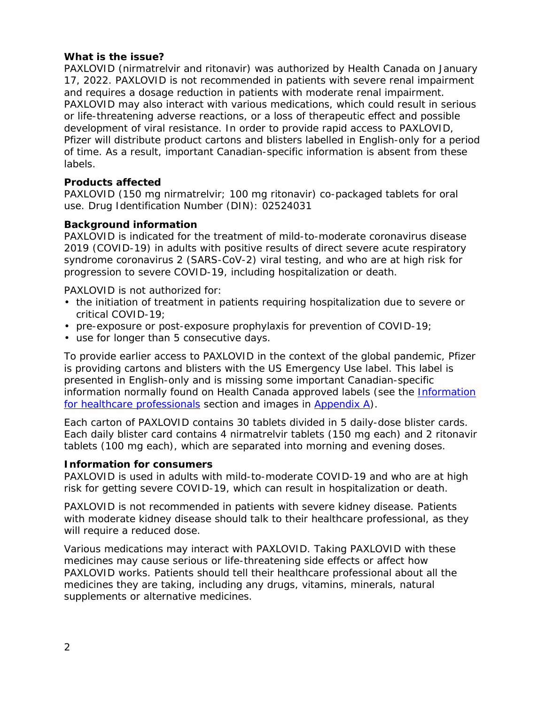# **What is the issue?**

PAXLOVID (nirmatrelvir and ritonavir) was authorized by Health Canada on January 17, 2022. PAXLOVID is not recommended in patients with severe renal impairment and requires a dosage reduction in patients with moderate renal impairment. PAXLOVID may also interact with various medications, which could result in serious or life-threatening adverse reactions, or a loss of therapeutic effect and possible development of viral resistance. In order to provide rapid access to PAXLOVID, Pfizer will distribute product cartons and blisters labelled in English-only for a period of time. As a result, important Canadian-specific information is absent from these labels.

# **Products affected**

PAXLOVID (150 mg nirmatrelvir; 100 mg ritonavir) co-packaged tablets for oral use. Drug Identification Number (DIN): 02524031

## **Background information**

PAXLOVID is indicated for the treatment of mild-to-moderate coronavirus disease 2019 (COVID-19) in adults with positive results of direct severe acute respiratory syndrome coronavirus 2 (SARS-CoV-2) viral testing, and who are at high risk for progression to severe COVID-19, including hospitalization or death.

PAXLOVID is not authorized for:

- the initiation of treatment in patients requiring hospitalization due to severe or critical COVID-19;
- pre-exposure or post-exposure prophylaxis for prevention of COVID-19;
- use for longer than 5 consecutive days.

To provide earlier access to PAXLOVID in the context of the global pandemic, Pfizer is providing cartons and blisters with the US Emergency Use label. This label is presented in English-only and is missing some important Canadian-specific information normally found on Health Canada approved labels (see the [Information](#page-2-0)  [for healthcare professionals](#page-2-0) section and images in [Appendix A\)](#page-5-0).

Each carton of PAXLOVID contains 30 tablets divided in 5 daily-dose blister cards. Each daily blister card contains 4 nirmatrelvir tablets (150 mg each) and 2 ritonavir tablets (100 mg each), which are separated into morning and evening doses.

## **Information for consumers**

PAXLOVID is used in adults with mild-to-moderate COVID-19 and who are at high risk for getting severe COVID-19, which can result in hospitalization or death.

PAXLOVID is not recommended in patients with severe kidney disease. Patients with moderate kidney disease should talk to their healthcare professional, as they will require a reduced dose.

Various medications may interact with PAXLOVID. Taking PAXLOVID with these medicines may cause serious or life-threatening side effects or affect how PAXLOVID works. Patients should tell their healthcare professional about all the medicines they are taking, including any drugs, vitamins, minerals, natural supplements or alternative medicines.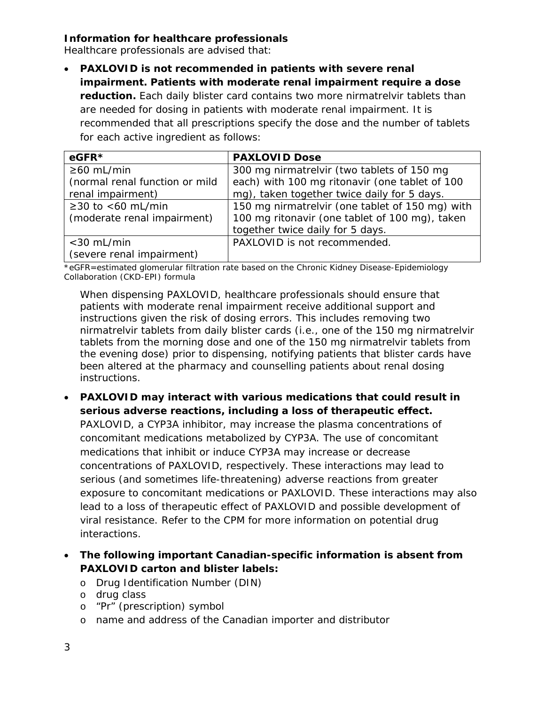# <span id="page-2-0"></span>**Information for healthcare professionals**

Healthcare professionals are advised that:

• **PAXLOVID is not recommended in patients with severe renal impairment. Patients with moderate renal impairment require a dose reduction.** Each daily blister card contains two more nirmatrelvir tablets than are needed for dosing in patients with moderate renal impairment. It is recommended that all prescriptions specify the dose and the number of tablets for each active ingredient as follows:

| $eGFR*$                        | <b>PAXLOVID Dose</b>                            |
|--------------------------------|-------------------------------------------------|
| $\geq 60$ mL/min               | 300 mg nirmatrelvir (two tablets of 150 mg      |
| (normal renal function or mild | each) with 100 mg ritonavir (one tablet of 100  |
| renal impairment)              | mg), taken together twice daily for 5 days.     |
| $≥30$ to <60 mL/min            | 150 mg nirmatrelvir (one tablet of 150 mg) with |
| (moderate renal impairment)    | 100 mg ritonavir (one tablet of 100 mg), taken  |
|                                | together twice daily for 5 days.                |
| $<$ 30 mL/min                  | PAXLOVID is not recommended.                    |
| (severe renal impairment)      |                                                 |

\*eGFR=estimated glomerular filtration rate based on the Chronic Kidney Disease-Epidemiology Collaboration (CKD-EPI) formula

When dispensing PAXLOVID, healthcare professionals should ensure that patients with moderate renal impairment receive additional support and instructions given the risk of dosing errors. This includes removing two nirmatrelvir tablets from daily blister cards (i.e., one of the 150 mg nirmatrelvir tablets from the morning dose and one of the 150 mg nirmatrelvir tablets from the evening dose) prior to dispensing, notifying patients that blister cards have been altered at the pharmacy and counselling patients about renal dosing instructions.

- **PAXLOVID may interact with various medications that could result in serious adverse reactions, including a loss of therapeutic effect.** PAXLOVID, a CYP3A inhibitor, may increase the plasma concentrations of concomitant medications metabolized by CYP3A. The use of concomitant medications that inhibit or induce CYP3A may increase or decrease concentrations of PAXLOVID, respectively. These interactions may lead to serious (and sometimes life-threatening) adverse reactions from greater exposure to concomitant medications or PAXLOVID. These interactions may also lead to a loss of therapeutic effect of PAXLOVID and possible development of viral resistance. Refer to the CPM for more information on potential drug interactions.
- **The following important Canadian-specific information is absent from PAXLOVID carton and blister labels:**
	- o Drug Identification Number (DIN)
	- o drug class
	- o "Pr" (prescription) symbol
	- o name and address of the Canadian importer and distributor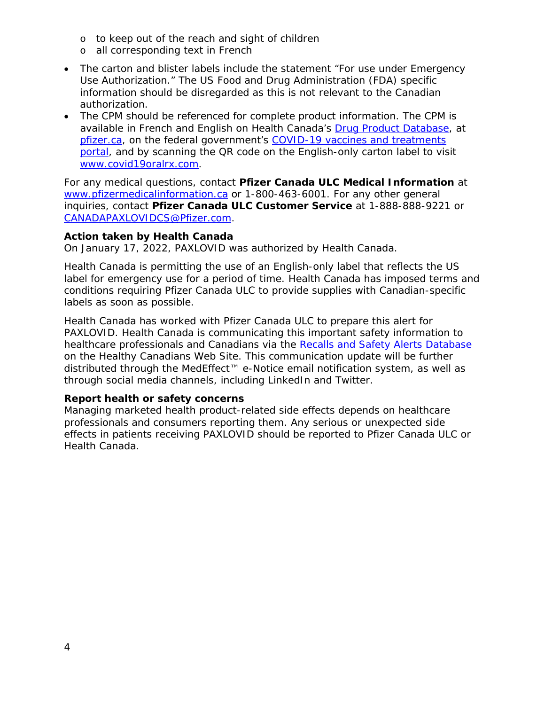- o to keep out of the reach and sight of children
- o all corresponding text in French
- The carton and blister labels include the statement "*For use under Emergency Use Authorization."* The US Food and Drug Administration (FDA) specific information should be disregarded as this is not relevant to the Canadian authorization.
- The CPM should be referenced for complete product information. The CPM is available in French and English on Health Canada's [Drug Product Database,](https://www.canada.ca/en/health-canada/services/drugs-health-products/drug-products/drug-product-database.html) at [pfizer.ca,](https://www.pfizer.ca/) on the federal government's [COVID-19 vaccines and treatments](https://covid-vaccine.canada.ca/)  [portal,](https://covid-vaccine.canada.ca/) and by scanning the QR code on the English-only carton label to visit [www.covid19oralrx.com.](http://www.covid19oralrx.com/)

For any medical questions, contact **Pfizer Canada ULC Medical Information** at [www.pfizermedicalinformation.ca](http://www.pfizermedicalinformation.ca/) or 1-800-463-6001. For any other general inquiries, contact **Pfizer Canada ULC Customer Service** at 1-888-888-9221 or [CANADAPAXLOVIDCS@Pfizer.com.](mailto:CANADAPAXLOVIDCS@Pfizer.com)

#### **Action taken by Health Canada**

On January 17, 2022, PAXLOVID was authorized by Health Canada.

Health Canada is permitting the use of an English-only label that reflects the US label for emergency use for a period of time. Health Canada has imposed terms and conditions requiring Pfizer Canada ULC to provide supplies with Canadian-specific labels as soon as possible.

Health Canada has worked with Pfizer Canada ULC to prepare this alert for PAXLOVID. Health Canada is communicating this important safety information to healthcare professionals and Canadians via the [Recalls and Safety Alerts Database](https://recalls-rappels.canada.ca/en) on the Healthy Canadians Web Site. This communication update will be further distributed through the MedEffect™ e-Notice email notification system, as well as through social media channels, including LinkedIn and Twitter.

## **Report health or safety concerns**

Managing marketed health product-related side effects depends on healthcare professionals and consumers reporting them. Any serious or unexpected side effects in patients receiving PAXLOVID should be reported to Pfizer Canada ULC or Health Canada.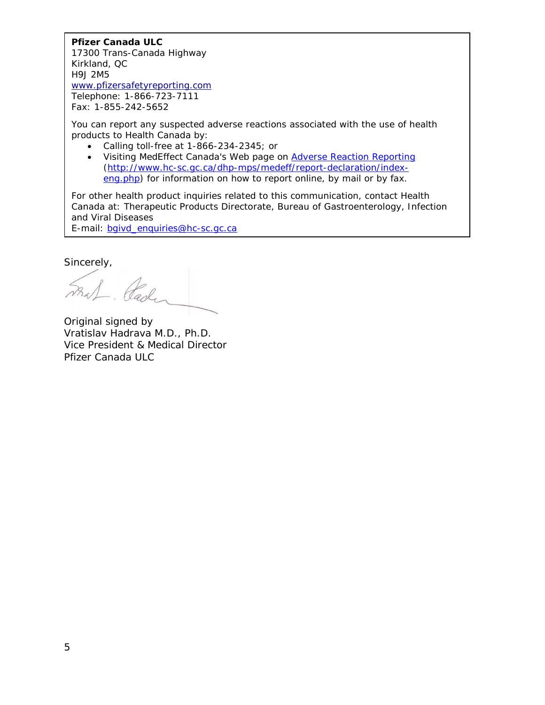## **Pfizer Canada ULC**

17300 Trans-Canada Highway Kirkland, QC H9J 2M5 [www.pfizersafetyreporting.com](http://www.pfizersafetyreporting.com/) Telephone: 1-866-723-7111 Fax: 1-855-242-5652

You can report any suspected adverse reactions associated with the use of health products to Health Canada by:

- Calling toll-free at 1-866-234-2345; or
- Visiting MedEffect Canada's Web page on [Adverse Reaction Reporting](http://www.hc-sc.gc.ca/dhp-mps/medeff/report-declaration/index-eng.php) [\(http://www.hc-sc.gc.ca/dhp-mps/medeff/report-declaration/index](http://www.hc-sc.gc.ca/dhp-mps/medeff/report-declaration/index-eng.php)[eng.php\)](http://www.hc-sc.gc.ca/dhp-mps/medeff/report-declaration/index-eng.php) for information on how to report online, by mail or by fax.

For other health product inquiries related to this communication, contact Health Canada at: Therapeutic Products Directorate, Bureau of Gastroenterology, Infection and Viral Diseases

E-mail: [bgivd\\_enquiries@hc-sc.gc.ca](mailto:bgivd_enquiries@hc-sc.gc.ca)

Sincerely,

Fral. Pader

Original signed by Vratislav Hadrava M.D., Ph.D. Vice President & Medical Director Pfizer Canada ULC